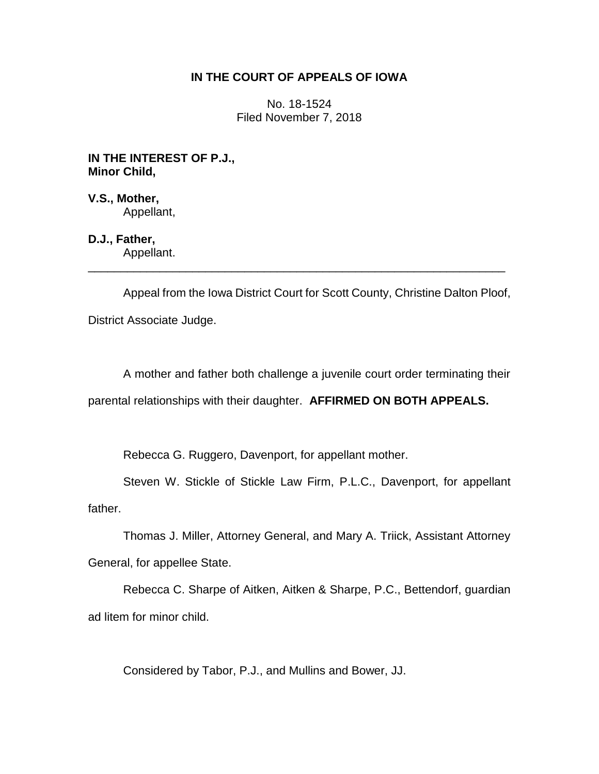# **IN THE COURT OF APPEALS OF IOWA**

No. 18-1524 Filed November 7, 2018

**IN THE INTEREST OF P.J., Minor Child,**

**V.S., Mother,** Appellant,

**D.J., Father,** Appellant.

Appeal from the Iowa District Court for Scott County, Christine Dalton Ploof, District Associate Judge.

\_\_\_\_\_\_\_\_\_\_\_\_\_\_\_\_\_\_\_\_\_\_\_\_\_\_\_\_\_\_\_\_\_\_\_\_\_\_\_\_\_\_\_\_\_\_\_\_\_\_\_\_\_\_\_\_\_\_\_\_\_\_\_\_

A mother and father both challenge a juvenile court order terminating their parental relationships with their daughter. **AFFIRMED ON BOTH APPEALS.**

Rebecca G. Ruggero, Davenport, for appellant mother.

Steven W. Stickle of Stickle Law Firm, P.L.C., Davenport, for appellant father.

Thomas J. Miller, Attorney General, and Mary A. Triick, Assistant Attorney General, for appellee State.

Rebecca C. Sharpe of Aitken, Aitken & Sharpe, P.C., Bettendorf, guardian ad litem for minor child.

Considered by Tabor, P.J., and Mullins and Bower, JJ.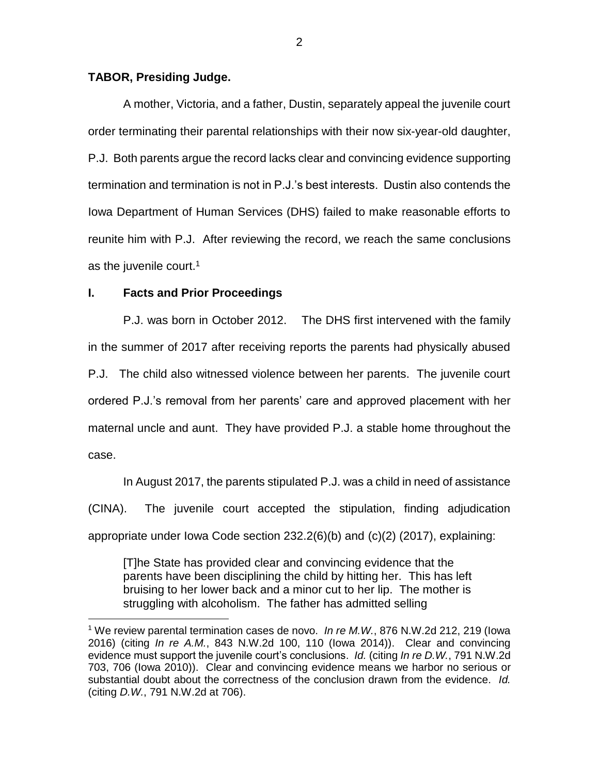### **TABOR, Presiding Judge.**

A mother, Victoria, and a father, Dustin, separately appeal the juvenile court order terminating their parental relationships with their now six-year-old daughter, P.J. Both parents argue the record lacks clear and convincing evidence supporting termination and termination is not in P.J.'s best interests. Dustin also contends the Iowa Department of Human Services (DHS) failed to make reasonable efforts to reunite him with P.J. After reviewing the record, we reach the same conclusions as the juvenile court. $1$ 

### **I. Facts and Prior Proceedings**

 $\overline{a}$ 

P.J. was born in October 2012. The DHS first intervened with the family in the summer of 2017 after receiving reports the parents had physically abused P.J. The child also witnessed violence between her parents. The juvenile court ordered P.J.'s removal from her parents' care and approved placement with her maternal uncle and aunt. They have provided P.J. a stable home throughout the case.

In August 2017, the parents stipulated P.J. was a child in need of assistance (CINA). The juvenile court accepted the stipulation, finding adjudication appropriate under Iowa Code section 232.2(6)(b) and (c)(2) (2017), explaining:

[T]he State has provided clear and convincing evidence that the parents have been disciplining the child by hitting her. This has left bruising to her lower back and a minor cut to her lip. The mother is struggling with alcoholism. The father has admitted selling

<sup>1</sup> We review parental termination cases de novo. *In re M.W.*, 876 N.W.2d 212, 219 (Iowa 2016) (citing *In re A.M.*, 843 N.W.2d 100, 110 (Iowa 2014)). Clear and convincing evidence must support the juvenile court's conclusions. *Id.* (citing *In re D.W.*, 791 N.W.2d 703, 706 (Iowa 2010)). Clear and convincing evidence means we harbor no serious or substantial doubt about the correctness of the conclusion drawn from the evidence. *Id.* (citing *D.W.*, 791 N.W.2d at 706).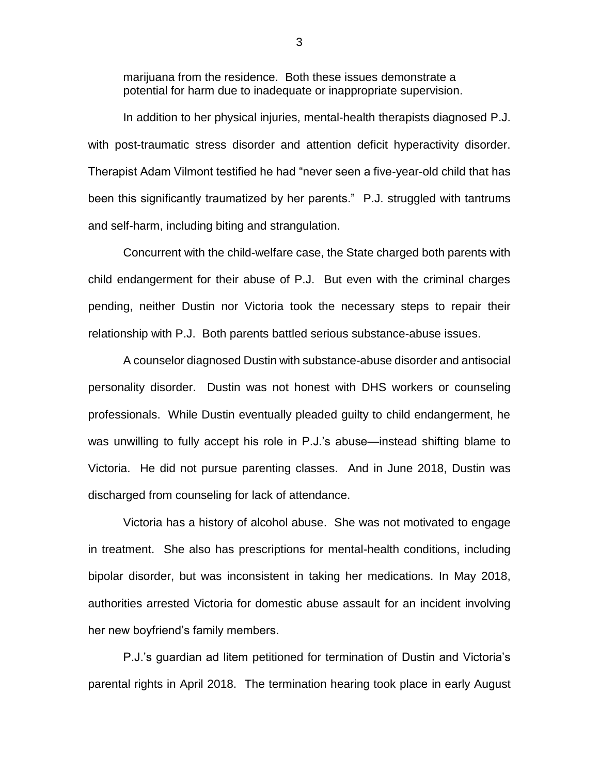marijuana from the residence. Both these issues demonstrate a potential for harm due to inadequate or inappropriate supervision.

In addition to her physical injuries, mental-health therapists diagnosed P.J. with post-traumatic stress disorder and attention deficit hyperactivity disorder. Therapist Adam Vilmont testified he had "never seen a five-year-old child that has been this significantly traumatized by her parents." P.J. struggled with tantrums and self-harm, including biting and strangulation.

Concurrent with the child-welfare case, the State charged both parents with child endangerment for their abuse of P.J. But even with the criminal charges pending, neither Dustin nor Victoria took the necessary steps to repair their relationship with P.J. Both parents battled serious substance-abuse issues.

A counselor diagnosed Dustin with substance-abuse disorder and antisocial personality disorder. Dustin was not honest with DHS workers or counseling professionals. While Dustin eventually pleaded guilty to child endangerment, he was unwilling to fully accept his role in P.J.'s abuse—instead shifting blame to Victoria. He did not pursue parenting classes. And in June 2018, Dustin was discharged from counseling for lack of attendance.

Victoria has a history of alcohol abuse. She was not motivated to engage in treatment. She also has prescriptions for mental-health conditions, including bipolar disorder, but was inconsistent in taking her medications. In May 2018, authorities arrested Victoria for domestic abuse assault for an incident involving her new boyfriend's family members.

P.J.'s guardian ad litem petitioned for termination of Dustin and Victoria's parental rights in April 2018. The termination hearing took place in early August

3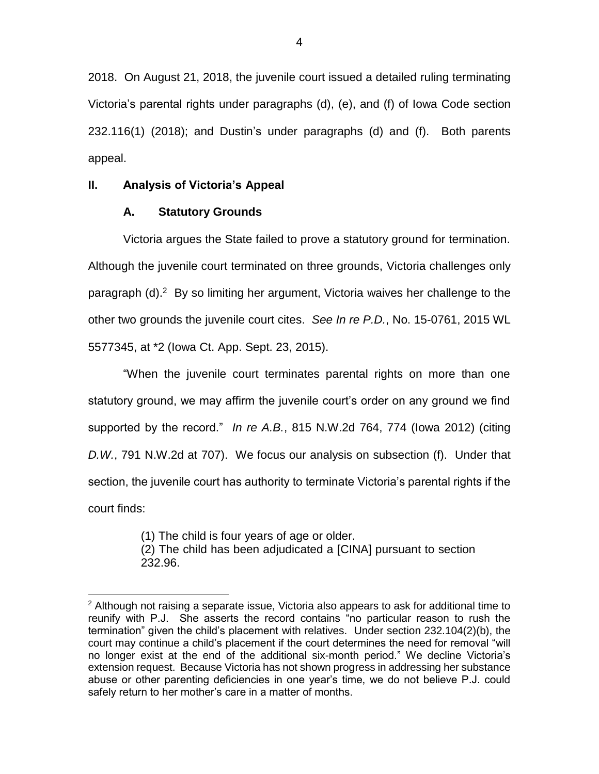2018. On August 21, 2018, the juvenile court issued a detailed ruling terminating Victoria's parental rights under paragraphs (d), (e), and (f) of Iowa Code section 232.116(1) (2018); and Dustin's under paragraphs (d) and (f). Both parents appeal.

# **II. Analysis of Victoria's Appeal**

# **A. Statutory Grounds**

Victoria argues the State failed to prove a statutory ground for termination. Although the juvenile court terminated on three grounds, Victoria challenges only paragraph (d).<sup>2</sup> By so limiting her argument, Victoria waives her challenge to the other two grounds the juvenile court cites. *See In re P.D.*, No. 15-0761, 2015 WL 5577345, at \*2 (Iowa Ct. App. Sept. 23, 2015).

"When the juvenile court terminates parental rights on more than one statutory ground, we may affirm the juvenile court's order on any ground we find supported by the record." *In re A.B.*, 815 N.W.2d 764, 774 (Iowa 2012) (citing *D.W.*, 791 N.W.2d at 707). We focus our analysis on subsection (f). Under that section, the juvenile court has authority to terminate Victoria's parental rights if the court finds:

> (1) The child is four years of age or older. (2) The child has been adjudicated a [CINA] pursuant to section 232.96.

 $\overline{a}$  $2$  Although not raising a separate issue, Victoria also appears to ask for additional time to reunify with P.J. She asserts the record contains "no particular reason to rush the termination" given the child's placement with relatives. Under section 232.104(2)(b), the court may continue a child's placement if the court determines the need for removal "will no longer exist at the end of the additional six-month period." We decline Victoria's extension request. Because Victoria has not shown progress in addressing her substance abuse or other parenting deficiencies in one year's time, we do not believe P.J. could safely return to her mother's care in a matter of months.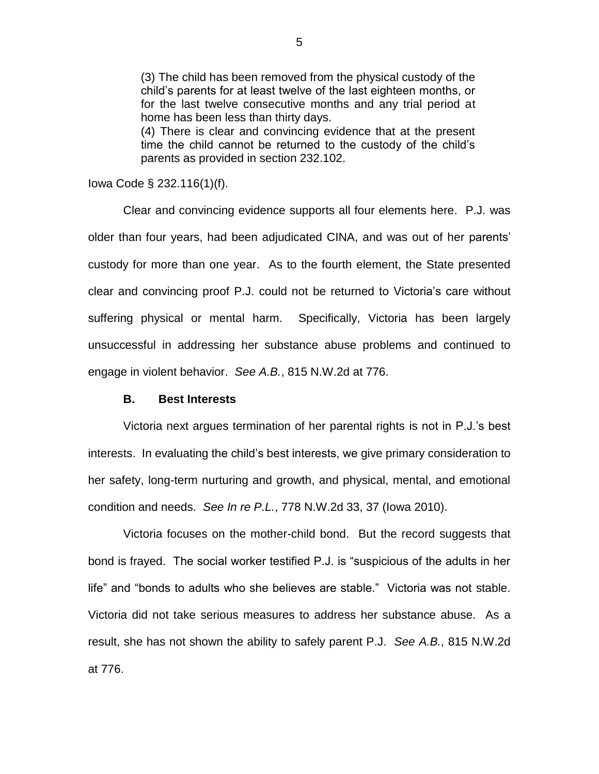(3) The child has been removed from the physical custody of the child's parents for at least twelve of the last eighteen months, or for the last twelve consecutive months and any trial period at home has been less than thirty days.

(4) There is clear and convincing evidence that at the present time the child cannot be returned to the custody of the child's parents as provided in section 232.102.

Iowa Code § 232.116(1)(f).

Clear and convincing evidence supports all four elements here. P.J. was older than four years, had been adjudicated CINA, and was out of her parents' custody for more than one year. As to the fourth element, the State presented clear and convincing proof P.J. could not be returned to Victoria's care without suffering physical or mental harm. Specifically, Victoria has been largely unsuccessful in addressing her substance abuse problems and continued to engage in violent behavior. *See A.B.*, 815 N.W.2d at 776.

### **B. Best Interests**

Victoria next argues termination of her parental rights is not in P.J.'s best interests. In evaluating the child's best interests, we give primary consideration to her safety, long-term nurturing and growth, and physical, mental, and emotional condition and needs. *See In re P.L.*, 778 N.W.2d 33, 37 (Iowa 2010).

Victoria focuses on the mother-child bond. But the record suggests that bond is frayed. The social worker testified P.J. is "suspicious of the adults in her life" and "bonds to adults who she believes are stable." Victoria was not stable. Victoria did not take serious measures to address her substance abuse. As a result, she has not shown the ability to safely parent P.J. *See A.B.*, 815 N.W.2d at 776.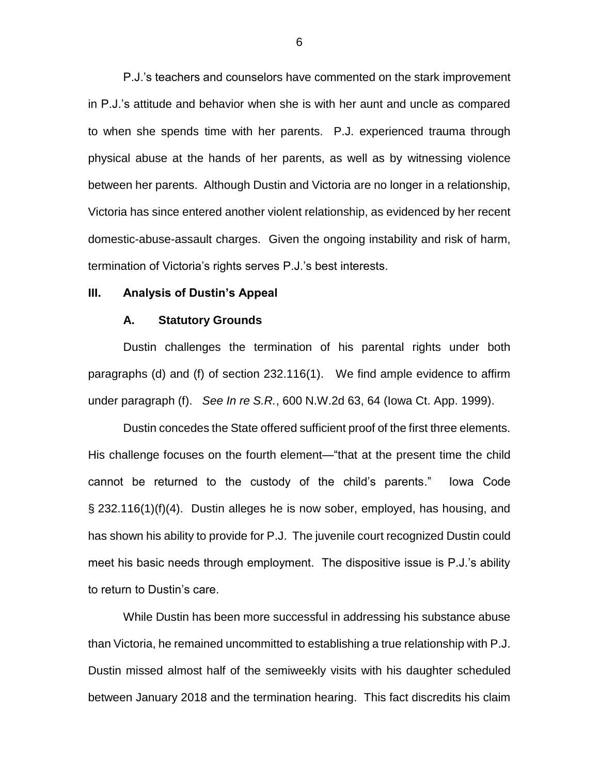P.J.'s teachers and counselors have commented on the stark improvement in P.J.'s attitude and behavior when she is with her aunt and uncle as compared to when she spends time with her parents. P.J. experienced trauma through physical abuse at the hands of her parents, as well as by witnessing violence between her parents. Although Dustin and Victoria are no longer in a relationship, Victoria has since entered another violent relationship, as evidenced by her recent domestic-abuse-assault charges. Given the ongoing instability and risk of harm, termination of Victoria's rights serves P.J.'s best interests.

### **III. Analysis of Dustin's Appeal**

#### **A. Statutory Grounds**

Dustin challenges the termination of his parental rights under both paragraphs (d) and (f) of section 232.116(1). We find ample evidence to affirm under paragraph (f). *See In re S.R.*, 600 N.W.2d 63, 64 (Iowa Ct. App. 1999).

Dustin concedes the State offered sufficient proof of the first three elements. His challenge focuses on the fourth element—"that at the present time the child cannot be returned to the custody of the child's parents." Iowa Code § 232.116(1)(f)(4). Dustin alleges he is now sober, employed, has housing, and has shown his ability to provide for P.J. The juvenile court recognized Dustin could meet his basic needs through employment. The dispositive issue is P.J.'s ability to return to Dustin's care.

While Dustin has been more successful in addressing his substance abuse than Victoria, he remained uncommitted to establishing a true relationship with P.J. Dustin missed almost half of the semiweekly visits with his daughter scheduled between January 2018 and the termination hearing. This fact discredits his claim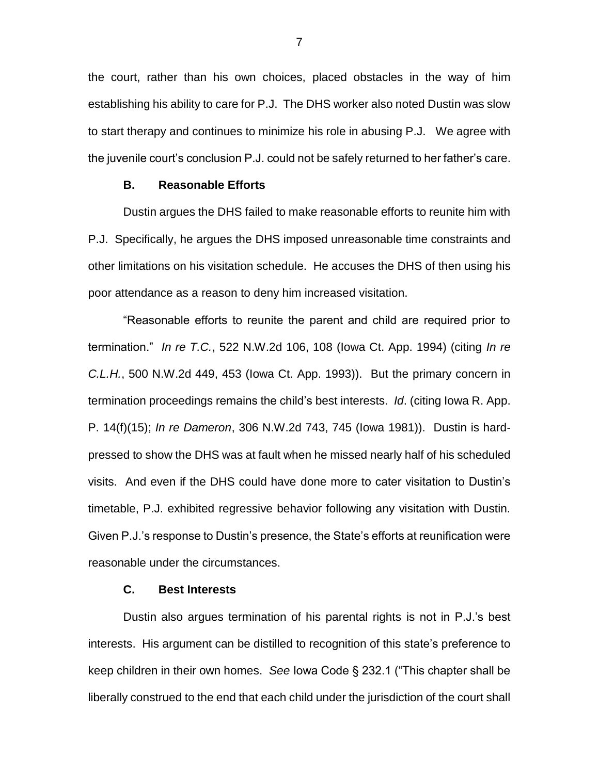the court, rather than his own choices, placed obstacles in the way of him establishing his ability to care for P.J. The DHS worker also noted Dustin was slow to start therapy and continues to minimize his role in abusing P.J. We agree with the juvenile court's conclusion P.J. could not be safely returned to her father's care.

### **B. Reasonable Efforts**

Dustin argues the DHS failed to make reasonable efforts to reunite him with P.J. Specifically, he argues the DHS imposed unreasonable time constraints and other limitations on his visitation schedule. He accuses the DHS of then using his poor attendance as a reason to deny him increased visitation.

"Reasonable efforts to reunite the parent and child are required prior to termination." *In re T.C.*, 522 N.W.2d 106, 108 (Iowa Ct. App. 1994) (citing *In re C.L.H.*, 500 N.W.2d 449, 453 (Iowa Ct. App. 1993)). But the primary concern in termination proceedings remains the child's best interests. *Id*. (citing Iowa R. App. P. 14(f)(15); *In re Dameron*, 306 N.W.2d 743, 745 (Iowa 1981)). Dustin is hardpressed to show the DHS was at fault when he missed nearly half of his scheduled visits. And even if the DHS could have done more to cater visitation to Dustin's timetable, P.J. exhibited regressive behavior following any visitation with Dustin. Given P.J.'s response to Dustin's presence, the State's efforts at reunification were reasonable under the circumstances.

# **C. Best Interests**

Dustin also argues termination of his parental rights is not in P.J.'s best interests. His argument can be distilled to recognition of this state's preference to keep children in their own homes. *See* Iowa Code § 232.1 ("This chapter shall be liberally construed to the end that each child under the jurisdiction of the court shall